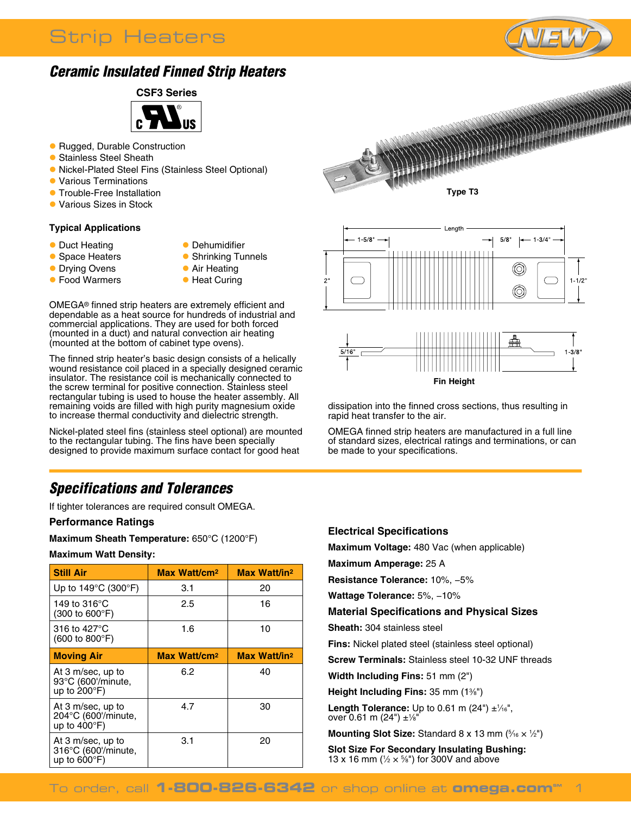# Strip Heaters



## *Ceramic Insulated Finned Strip Heaters*



- Rugged, Durable Construction
- **C** Stainless Steel Sheath
- **Nickel-Plated Steel Fins (Stainless Steel Optional)**
- **Various Terminations**
- **Trouble-Free Installation**
- l Various Sizes in Stock

#### **Typical Applications**

- Duct Heating
- **Dehumidifier**
- **C** Space Heaters
- **Drying Ovens**
- **Food Warmers**
- **C** Shrinking Tunnels
- **Air Heating**
- **Heat Curing**

OMEGA® finned strip heaters are extremely efficient and dependable as a heat source for hundreds of industrial and commercial applications. They are used for both forced (mounted in a duct) and natural convection air heating (mounted at the bottom of cabinet type ovens).

The finned strip heater's basic design consists of a helically wound resistance coil placed in a specially designed ceramic insulator. The resistance coil is mechanically connected to the screw terminal for positive connection. Stainless steel rectangular tubing is used to house the heater assembly. All remaining voids are filled with high purity magnesium oxide to increase thermal conductivity and dielectric strength.

Nickel-plated steel fins (stainless steel optional) are mounted to the rectangular tubing. The fins have been specially designed to provide maximum surface contact for good heat

## *Specifications and Tolerances*

If tighter tolerances are required consult OMEGA.

#### **Performance Ratings**

**Maximum Sheath Temperature:** 650°C (1200°F)

#### **Maximum Watt Density:**

| <b>Still Air</b>                                                   | Max Watt/cm <sup>2</sup> | Max Watt/in <sup>2</sup> |  |
|--------------------------------------------------------------------|--------------------------|--------------------------|--|
| Up to $149^{\circ}$ C (300 $^{\circ}$ F)                           | 3.1                      | 20                       |  |
| 149 to 316°C<br>(300 to 600°F)                                     | 2.5                      | 16                       |  |
| 316 to 427°C<br>$(600 \text{ to } 800^{\circ} \text{F})$           | 1.6                      | 10                       |  |
| <b>Moving Air</b>                                                  | Max Watt/cm <sup>2</sup> | Max Watt/in <sup>2</sup> |  |
| At 3 m/sec, up to<br>93°C (600'/minute,<br>up to $200^{\circ}$ F)  | 6.2                      | 40                       |  |
| At 3 m/sec, up to<br>204°C (600'/minute,<br>up to $400^{\circ}$ F) | 4.7                      | 30                       |  |
| At 3 m/sec, up to<br>316°C (600'/minute,<br>up to $600^{\circ}$ F) | 3.1                      | 20                       |  |





dissipation into the finned cross sections, thus resulting in rapid heat transfer to the air.

OMEGA finned strip heaters are manufactured in a full line of standard sizes, electrical ratings and terminations, or can be made to your specifications.

#### **Electrical Specifications**

**Maximum Voltage:** 480 Vac (when applicable)

**Maximum Amperage:** 25 A

**Resistance Tolerance:** 10%, −5%

**Wattage Tolerance:** 5%, −10%

**Material Specifications and Physical Sizes**

**Sheath:** 304 stainless steel

**Fins:** Nickel plated steel (stainless steel optional)

**Screw Terminals:** Stainless steel 10-32 UNF threads

**Width Including Fins:** 51 mm (2")

**Height Including Fins:** 35 mm (13 ⁄8")

**Length Tolerance:** Up to 0.61 m  $(24") \pm \frac{1}{16}$ , over 0.61 m (24") ±1 ⁄8"

**Mounting Slot Size:** Standard  $8 \times 13$  mm  $(% \times \frac{1}{2})$ 

**Slot Size For Secondary Insulating Bushing:** 13 x 16 mm ( $\frac{1}{2} \times \frac{5}{8}$ ") for 300V and above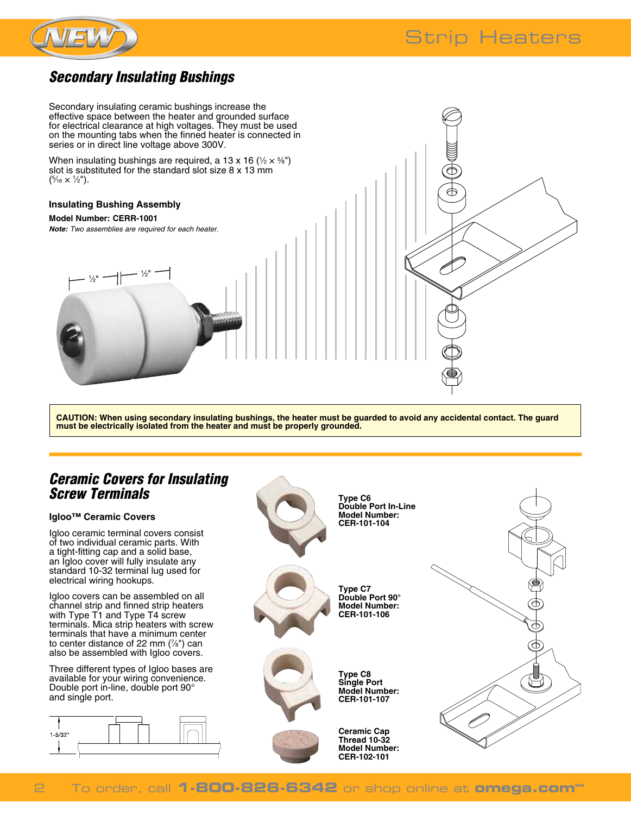



## *Secondary Insulating Bushings*

Secondary insulating ceramic bushings increase the effective space between the heater and grounded surface for electrical clearance at high voltages. They must be used on the mounting tabs when the finned heater is connected in series or in direct line voltage above 300V.

When insulating bushings are required, a 13 x 16 ( $\frac{1}{2} \times \frac{5}{8}$ ") slot is substituted for the standard slot size 8 x 13 mm  $(\frac{5}{16} \times \frac{1}{2})$ .

#### **Insulating Bushing Assembly**

 $\frac{1}{2}$ " –  $\left| \rule{0pt}{13pt} \right. ^{-1}$ 

#### **Model Number: CERR-1001**

*Note: Two assemblies are required for each heater.*

 $/2$ "

**CAUTION: When using secondary insulating bushings, the heater must be guarded to avoid any accidental contact. The guard must be electrically isolated from the heater and must be properly grounded.**

### *Ceramic Covers for Insulating Screw Terminals*

#### **Igloo™ Ceramic Covers**

Igloo ceramic terminal covers consist of two individual ceramic parts. With a tight-fitting cap and a solid base, an Igloo cover will fully insulate any standard 10-32 terminal lug used for electrical wiring hookups.

Igloo covers can be assembled on all channel strip and finned strip heaters with Type T1 and Type T4 screw terminals. Mica strip heaters with screw terminals that have a minimum center to center distance of 22 mm (7 ⁄8") can also be assembled with Igloo covers.

Three different types of Igloo bases are available for your wiring convenience. Double port in-line, double port 90° and single port.





### **To order, call 1-800-826-6342** or shop online at **omega.com**®